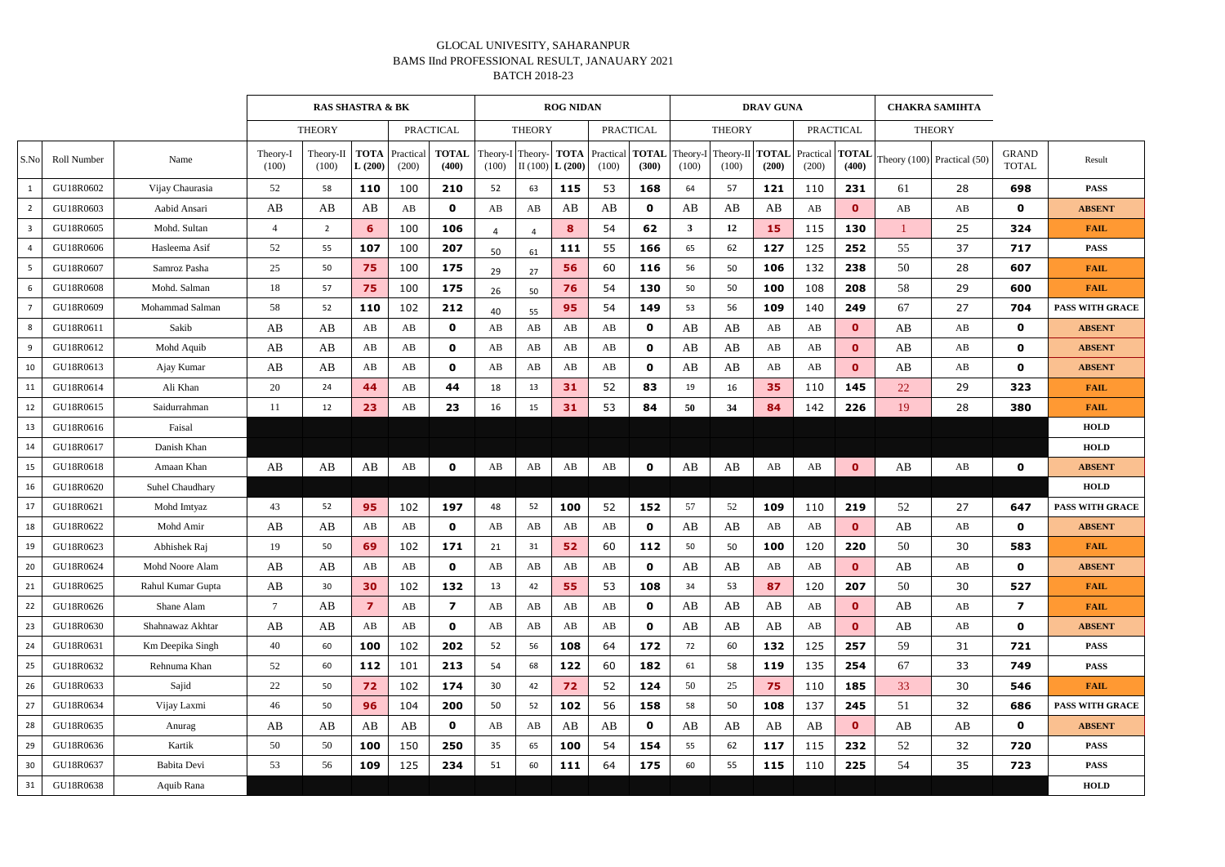|                 |                    |                   |                   | <b>RAS SHASTRA &amp; BK</b> |                       |                    |                       |               |                             | <b>ROG NIDAN</b>      |                    |                       |                   |                          | <b>DRAV GUNA</b> |                            |               | <b>CHAKRA SAMIHTA</b> |                                 |                              |                        |
|-----------------|--------------------|-------------------|-------------------|-----------------------------|-----------------------|--------------------|-----------------------|---------------|-----------------------------|-----------------------|--------------------|-----------------------|-------------------|--------------------------|------------------|----------------------------|---------------|-----------------------|---------------------------------|------------------------------|------------------------|
|                 |                    |                   |                   | <b>THEORY</b>               |                       | <b>PRACTICAL</b>   |                       | <b>THEORY</b> |                             | <b>PRACTICAL</b>      |                    |                       | <b>THEORY</b>     |                          | <b>PRACTICAL</b> |                            | <b>THEORY</b> |                       |                                 |                              |                        |
| S.No            | <b>Roll Number</b> | Name              | Theory-I<br>(100) | Theory-II<br>(100)          | <b>TOTA</b><br>L(200) | Practical<br>(200) | <b>TOTAL</b><br>(400) | (100)         | Theory-I Theory-<br>II(100) | <b>TOTA</b><br>L(200) | Practical<br>(100) | <b>TOTAL</b><br>(300) | Theory-I<br>(100) | Theory-II TOTAL<br>(100) | (200)            | Practical   TOTAL<br>(200) | (400)         |                       | Theory $(100)$ Practical $(50)$ | <b>GRAND</b><br><b>TOTAL</b> | Result                 |
|                 | GU18R0602          | Vijay Chaurasia   | 52                | 58                          | 110                   | 100                | 210                   | 52            | 63                          | 115                   | 53                 | 168                   | 64                | 57                       | 121              | 110                        | 231           | 61                    | 28                              | 698                          | <b>PASS</b>            |
| $\overline{2}$  | GU18R0603          | Aabid Ansari      | AB                | AB                          | AB                    | AB                 | $\mathbf 0$           | AB            | AB                          | AB                    | AB                 | 0                     | AB                | AB                       | AB               | AB                         | $\mathbf{0}$  | AB                    | AB                              | $\mathbf 0$                  | <b>ABSENT</b>          |
| $\overline{3}$  | GU18R0605          | Mohd. Sultan      | 4                 | $\overline{2}$              | 6                     | 100                | 106                   | Δ             |                             | 8                     | 54                 | 62                    | 3                 | 12                       | 15               | 115                        | 130           |                       | 25                              | 324                          | <b>FAIL</b>            |
| $\overline{4}$  | GU18R0606          | Hasleema Asif     | 52                | 55                          | 107                   | 100                | 207                   | 50            | 61                          | 111                   | 55                 | 166                   | 65                | 62                       | 127              | 125                        | 252           | 55                    | 37                              | 717                          | <b>PASS</b>            |
| $5\phantom{.0}$ | GU18R0607          | Samroz Pasha      | 25                | 50                          | 75                    | 100                | 175                   | 29            | 27                          | 56                    | 60                 | 116                   | 56                | 50                       | 106              | 132                        | 238           | 50                    | 28                              | 607                          | <b>FAIL</b>            |
| 6               | GU18R0608          | Mohd. Salman      | 18                | 57                          | 75                    | 100                | 175                   | 26            | 50                          | 76                    | 54                 | 130                   | 50                | 50                       | 100              | 108                        | 208           | 58                    | 29                              | 600                          | <b>FAIL</b>            |
| $\overline{7}$  | GU18R0609          | Mohammad Salman   | 58                | 52                          | 110                   | 102                | 212                   | 40            | 55                          | 95                    | 54                 | 149                   | 53                | 56                       | 109              | 140                        | 249           | 67                    | 27                              | 704                          | <b>PASS WITH GRACE</b> |
| 8               | GU18R0611          | Sakib             | AB                | AB                          | AB                    | AB                 | $\mathbf 0$           | AB            | AB                          | AB                    | AB                 | $\mathbf{0}$          | AB                | AB                       | AB               | AB                         | $\mathbf{0}$  | AB                    | AB                              | $\mathbf 0$                  | <b>ABSENT</b>          |
| 9               | GU18R0612          | Mohd Aquib        | AB                | AB                          | AB                    | AB                 | $\mathbf 0$           | AB            | AB                          | AB                    | AB                 | $\mathbf 0$           | AB                | AB                       | AB               | AB                         | $\mathbf{0}$  | AB                    | AB                              | $\mathbf 0$                  | <b>ABSENT</b>          |
| 10              | GU18R0613          | Ajay Kumar        | AB                | AB                          | AB                    | AB                 | $\mathbf 0$           | AB            | AB                          | AB                    | AB                 | $\mathbf{0}$          | AB                | AB                       | AB               | AB                         | $\mathbf{O}$  | AB                    | AB                              | $\mathbf 0$                  | <b>ABSENT</b>          |
| 11              | GU18R0614          | Ali Khan          | 20                | 24                          | 44                    | AB                 | 44                    | 18            | 13                          | 31                    | 52                 | 83                    | 19                | 16                       | 35               | 110                        | 145           | 22                    | 29                              | 323                          | <b>FAIL</b>            |
| 12              | GU18R0615          | Saidurrahman      | 11                | 12                          | 23                    | AB                 | 23                    | 16            | 15                          | 31                    | 53                 | 84                    | 50                | 34                       | 84               | 142                        | 226           | 19                    | 28                              | 380                          | <b>FAIL</b>            |
| 13              | GU18R0616          | Faisal            |                   |                             |                       |                    |                       |               |                             |                       |                    |                       |                   |                          |                  |                            |               |                       |                                 |                              | <b>HOLD</b>            |
| 14              | GU18R0617          | Danish Khan       |                   |                             |                       |                    |                       |               |                             |                       |                    |                       |                   |                          |                  |                            |               |                       |                                 |                              | <b>HOLD</b>            |
| 15              | GU18R0618          | Amaan Khan        | AB                | AB                          | AB                    | AB                 | $\mathbf 0$           | AB            | AB                          | AB                    | AB                 | 0                     | AB                | AB                       | AB               | AB                         | $\mathbf{0}$  | AB                    | AB                              | 0                            | <b>ABSENT</b>          |
| 16              | GU18R0620          | Suhel Chaudhary   |                   |                             |                       |                    |                       |               |                             |                       |                    |                       |                   |                          |                  |                            |               |                       |                                 |                              | <b>HOLD</b>            |
| 17              | GU18R0621          | Mohd Imtyaz       | 43                | 52                          | 95                    | 102                | 197                   | 48            | 52                          | 100                   | 52                 | 152                   | 57                | 52                       | 109              | 110                        | 219           | 52                    | 27                              | 647                          | <b>PASS WITH GRACE</b> |
| 18              | GU18R0622          | Mohd Amir         | AB                | AB                          | AB                    | AB                 | $\mathbf 0$           | AB            | AB                          | AB                    | AB                 | $\mathbf 0$           | AB                | AB                       | AB               | AB                         | $\mathbf{0}$  | AB                    | AB                              | $\mathbf 0$                  | <b>ABSENT</b>          |
| 19              | GU18R0623          | Abhishek Rai      | 19                | 50                          | 69                    | 102                | 171                   | 21            | 31                          | 52                    | 60                 | 112                   | 50                | 50                       | 100              | 120                        | 220           | 50                    | 30                              | 583                          | <b>FAIL</b>            |
| 20              | GU18R0624          | Mohd Noore Alam   | AB                | AB                          | AB                    | AB                 | $\mathbf{o}$          | AB            | AB                          | AB                    | AB                 | 0                     | AB                | AB                       | AB               | AB                         | $\mathbf{0}$  | AB                    | AB                              | $\mathbf 0$                  | <b>ABSENT</b>          |
| 21              | GU18R0625          | Rahul Kumar Gupta | AB                | 30                          | 30                    | 102                | 132                   | 13            | 42                          | 55                    | 53                 | 108                   | 34                | 53                       | 87               | 120                        | 207           | 50                    | 30                              | 527                          | <b>FAIL</b>            |
| 22              | GU18R0626          | Shane Alam        | $7\overline{ }$   | AB                          | $\overline{z}$        | AB                 | $\boldsymbol{7}$      | AB            | AB                          | AB                    | AB                 | $\mathbf 0$           | AB                | AB                       | AB               | AB                         | $\bullet$     | AB                    | AB                              | $\overline{\mathbf{z}}$      | <b>FAIL</b>            |
| 23              | GU18R0630          | Shahnawaz Akhtar  | AB                | AB                          | AB                    | AB                 | $\mathbf 0$           | AB            | AB                          | AB                    | AB                 | $\mathbf 0$           | AB                | AB                       | AB               | AB                         | $\mathbf{0}$  | AB                    | AB                              | $\mathbf 0$                  | <b>ABSENT</b>          |
| 24              | GU18R0631          | Km Deepika Singh  | 40                | 60                          | 100                   | 102                | 202                   | 52            | 56                          | 108                   | 64                 | 172                   | 72                | 60                       | 132              | 125                        | 257           | 59                    | 31                              | 721                          | <b>PASS</b>            |
| 25              | GU18R0632          | Rehnuma Khan      | 52                | 60                          | 112                   | 101                | 213                   | 54            | 68                          | 122                   | 60                 | 182                   | 61                | 58                       | 119              | 135                        | 254           | 67                    | 33                              | 749                          | <b>PASS</b>            |
| 26              | GU18R0633          | Sajid             | 22                | 50                          | 72                    | 102                | 174                   | 30            | 42                          | 72                    | 52                 | 124                   | 50                | 25                       | 75               | 110                        | 185           | 33                    | 30                              | 546                          | <b>FAIL</b>            |
| $27$            | GU18R0634          | Vijay Laxmi       | 46                | 50                          | 96                    | 104                | 200                   | 50            | 52                          | 102                   | 56                 | 158                   | 58                | 50                       | 108              | 137                        | 245           | 51                    | 32                              | 686                          | <b>PASS WITH GRACE</b> |
| 28              | GU18R0635          | Anurag            | AB                | AB                          | AB                    | AB                 | $\mathbf 0$           | AB            | AB                          | AB                    | AB                 | $\mathbf 0$           | AB                | AB                       | AB               | AB                         | $\bullet$     | AB                    | AB                              | $\mathbf 0$                  | <b>ABSENT</b>          |
| 29              | GU18R0636          | Kartik            | 50                | 50                          | 100                   | 150                | 250                   | 35            | 65                          | 100                   | 54                 | 154                   | 55                | 62                       | 117              | 115                        | 232           | 52                    | 32                              | 720                          | <b>PASS</b>            |
| $30\,$          | GU18R0637          | Babita Devi       | 53                | 56                          | 109                   | 125                | 234                   | 51            | 60                          | 111                   | 64                 | 175                   | 60                | 55                       | 115              | 110                        | 225           | 54                    | 35                              | 723                          | <b>PASS</b>            |
| 31              | GU18R0638          | Aquib Rana        |                   |                             |                       |                    |                       |               |                             |                       |                    |                       |                   |                          |                  |                            |               |                       |                                 |                              | <b>HOLD</b>            |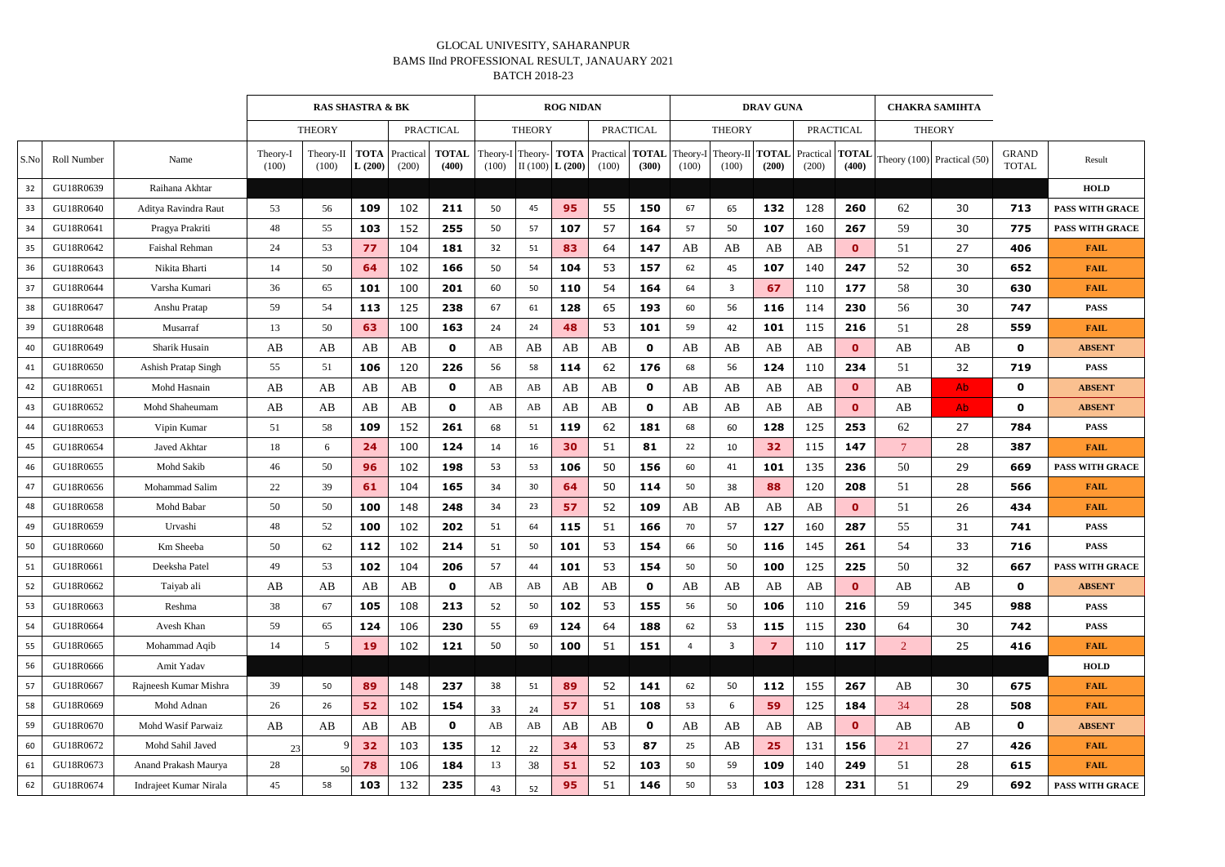|      |                    |                        | <b>RAS SHASTRA &amp; BK</b> |                    |                       |                    |                       |                   |               | <b>ROG NIDAN</b>     |                                 |             |                   |                          | <b>DRAV GUNA</b> |                    |              |                | <b>CHAKRA SAMIHTA</b>                                                          |                              |                        |
|------|--------------------|------------------------|-----------------------------|--------------------|-----------------------|--------------------|-----------------------|-------------------|---------------|----------------------|---------------------------------|-------------|-------------------|--------------------------|------------------|--------------------|--------------|----------------|--------------------------------------------------------------------------------|------------------------------|------------------------|
|      |                    |                        |                             | <b>THEORY</b>      | <b>PRACTICAL</b>      |                    |                       |                   | <b>THEORY</b> |                      | <b>PRACTICAL</b>                |             |                   | <b>THEORY</b>            |                  | <b>PRACTICAL</b>   |              |                | <b>THEORY</b>                                                                  |                              |                        |
| S.No | <b>Roll Number</b> | Name                   | Theory-<br>(100)            | Theory-II<br>(100) | <b>TOTA</b><br>L(200) | Practical<br>(200) | <b>TOTAL</b><br>(400) | Theory-I<br>(100) | Theory- TOTA  | II $(100)$ L $(200)$ | <b>Practical TOTAL</b><br>(100) | (300)       | Theory-I<br>(100) | Theory-II TOTAL<br>(100) | (200)            | Practical<br>(200) | (400)        |                | $\left \frac{\textbf{TOTAL}}{\textbf{100}}\right $ Theory (100) Practical (50) | <b>GRAND</b><br><b>TOTAL</b> | Result                 |
| 32   | GU18R0639          | Raihana Akhtar         |                             |                    |                       |                    |                       |                   |               |                      |                                 |             |                   |                          |                  |                    |              |                |                                                                                |                              | <b>HOLD</b>            |
| 33   | GU18R0640          | Aditya Ravindra Raut   | 53                          | 56                 | 109                   | 102                | 211                   | 50                | 45            | 95                   | 55                              | 150         | 67                | 65                       | 132              | 128                | 260          | 62             | 30                                                                             | 713                          | <b>PASS WITH GRACE</b> |
| 34   | GU18R0641          | Pragya Prakriti        | 48                          | 55                 | 103                   | 152                | 255                   | 50                | 57            | 107                  | 57                              | 164         | 57                | 50                       | 107              | 160                | 267          | 59             | 30                                                                             | 775                          | <b>PASS WITH GRACE</b> |
| 35   | GU18R0642          | Faishal Rehman         | 24                          | 53                 | 77                    | 104                | 181                   | 32                | 51            | 83                   | 64                              | 147         | AB                | AB                       | AB               | AB                 | $\mathbf{0}$ | 51             | 27                                                                             | 406                          | <b>FAIL</b>            |
| 36   | GU18R0643          | Nikita Bharti          | 14                          | 50                 | 64                    | 102                | 166                   | 50                | 54            | 104                  | 53                              | 157         | 62                | 45                       | 107              | 140                | 247          | 52             | 30                                                                             | 652                          | <b>FAIL</b>            |
| 37   | GU18R0644          | Varsha Kumari          | 36                          | 65                 | 101                   | 100                | 201                   | 60                | 50            | 110                  | 54                              | 164         | 64                | -3                       | 67               | 110                | 177          | 58             | 30                                                                             | 630                          | <b>FAIL</b>            |
| 38   | GU18R0647          | Anshu Pratap           | 59                          | 54                 | 113                   | 125                | 238                   | 67                | 61            | 128                  | 65                              | 193         | 60                | 56                       | 116              | 114                | 230          | 56             | 30                                                                             | 747                          | <b>PASS</b>            |
| 39   | GU18R0648          | Musarraf               | 13                          | 50                 | 63                    | 100                | 163                   | 24                | 24            | 48                   | 53                              | 101         | 59                | 42                       | 101              | 115                | 216          | 51             | 28                                                                             | 559                          | <b>FAIL</b>            |
| 40   | GU18R0649          | Sharik Husain          | AB                          | AB                 | AB                    | AB                 | $\mathbf 0$           | AB                | AB            | AB                   | AB                              | $\mathbf 0$ | AB                | AB                       | AB               | AB                 | $\mathbf{0}$ | AB             | AB                                                                             | $\mathbf{0}$                 | <b>ABSENT</b>          |
| 41   | GU18R0650          | Ashish Pratap Singh    | 55                          | 51                 | 106                   | 120                | 226                   | 56                | 58            | 114                  | 62                              | 176         | 68                | 56                       | 124              | 110                | 234          | 51             | 32                                                                             | 719                          | <b>PASS</b>            |
| 42   | GU18R0651          | Mohd Hasnain           | AB                          | AB                 | AB                    | AB                 | $\mathbf 0$           | AB                | AB            | AB                   | AB                              | $\mathbf 0$ | AB                | AB                       | AB               | AB                 | $\mathbf{0}$ | AB             | Ab.                                                                            | $\mathbf 0$                  | <b>ABSENT</b>          |
| 43   | GU18R0652          | Mohd Shaheumam         | AB                          | AB                 | AB                    | AB                 | $\mathbf{0}$          | AB                | AB            | AB                   | AB                              | $\mathbf 0$ | AB                | AB                       | AB               | AB                 | $\mathbf{0}$ | AB             | Ab.                                                                            | $\mathbf 0$                  | <b>ABSENT</b>          |
| 44   | GU18R0653          | Vipin Kumar            | 51                          | 58                 | 109                   | 152                | 261                   | 68                | 51            | 119                  | 62                              | 181         | 68                | 60                       | 128              | 125                | 253          | 62             | 27                                                                             | 784                          | <b>PASS</b>            |
| 45   | GU18R0654          | Javed Akhtar           | 18                          | 6                  | 24                    | 100                | 124                   | 14                | 16            | 30                   | 51                              | 81          | 22                | 10                       | 32               | 115                | 147          | $\tau$         | 28                                                                             | 387                          | <b>FAIL</b>            |
| 46   | GU18R0655          | Mohd Sakib             | 46                          | 50                 | 96                    | 102                | 198                   | 53                | 53            | 106                  | 50                              | 156         | 60                | 41                       | 101              | 135                | 236          | 50             | 29                                                                             | 669                          | <b>PASS WITH GRACE</b> |
| 47   | GU18R0656          | Mohammad Salim         | 22                          | 39                 | 61                    | 104                | 165                   | 34                | 30            | 64                   | 50                              | 114         | 50                | 38                       | 88               | 120                | 208          | 51             | 28                                                                             | 566                          | <b>FAIL</b>            |
| 48   | GU18R0658          | Mohd Babar             | 50                          | 50                 | 100                   | 148                | 248                   | 34                | 23            | 57                   | 52                              | 109         | AB                | AB                       | AB               | AB                 | $\mathbf{0}$ | 51             | 26                                                                             | 434                          | <b>FAIL</b>            |
| 49   | GU18R0659          | Urvashi                | 48                          | 52                 | 100                   | 102                | 202                   | 51                | 64            | 115                  | 51                              | 166         | 70                | 57                       | 127              | 160                | 287          | 55             | 31                                                                             | 741                          | <b>PASS</b>            |
| 50   | GU18R0660          | Km Sheeba              | 50                          | 62                 | 112                   | 102                | 214                   | 51                | 50            | 101                  | 53                              | 154         | 66                | 50                       | 116              | 145                | 261          | 54             | 33                                                                             | 716                          | <b>PASS</b>            |
| 51   | GU18R0661          | Deeksha Patel          | 49                          | 53                 | 102                   | 104                | 206                   | 57                | 44            | 101                  | 53                              | 154         | 50                | 50                       | 100              | 125                | 225          | 50             | 32                                                                             | 667                          | PASS WITH GRACE        |
| 52   | GU18R0662          | Taiyab ali             | AB                          | AB                 | AB                    | AB                 | $\mathbf 0$           | AB                | AB            | AB                   | AB                              | $\mathbf 0$ | AB                | AB                       | AB               | AB                 | $\mathbf{0}$ | AB             | AB                                                                             | $\mathbf 0$                  | <b>ABSENT</b>          |
| 53   | GU18R0663          | Reshma                 | 38                          | 67                 | 105                   | 108                | 213                   | 52                | 50            | 102                  | 53                              | 155         | 56                | 50                       | 106              | 110                | 216          | 59             | 345                                                                            | 988                          | <b>PASS</b>            |
| 54   | GU18R0664          | Avesh Khan             | 59                          | 65                 | 124                   | 106                | 230                   | 55                | 69            | 124                  | 64                              | 188         | 62                | 53                       | 115              | 115                | 230          | 64             | 30                                                                             | 742                          | <b>PASS</b>            |
| 55   | GU18R0665          | Mohammad Aqib          | 14                          | $5\overline{)}$    | <b>19</b>             | 102                | 121                   | 50                | 50            | 100                  | 51                              | 151         | $\overline{4}$    | $\overline{3}$           | $\overline{z}$   | 110                | 117          | $\overline{2}$ | 25                                                                             | 416                          | <b>FAIL</b>            |
| 56   | GU18R0666          | Amit Yadav             |                             |                    |                       |                    |                       |                   |               |                      |                                 |             |                   |                          |                  |                    |              |                |                                                                                |                              | <b>HOLD</b>            |
| 57   | GU18R0667          | Rajneesh Kumar Mishra  | 39                          | 50                 | 89                    | 148                | 237                   | 38                | 51            | 89                   | 52                              | 141         | 62                | 50                       | 112              | 155                | 267          | AB             | 30                                                                             | 675                          | <b>FAIL</b>            |
| 58   | GU18R0669          | Mohd Adnan             | 26                          | 26                 | 52                    | 102                | 154                   | 33                | 24            | 57                   | 51                              | 108         | 53                | 6                        | 59               | 125                | 184          | 34             | 28                                                                             | 508                          | <b>FAIL</b>            |
| 59   | GU18R0670          | Mohd Wasif Parwaiz     | AB                          | AB                 | AB                    | AB                 | $\mathbf 0$           | AB                | AB            | AB                   | AB                              | $\mathbf 0$ | AB                | AB                       | AB               | AB                 | $\mathbf{0}$ | AB             | AB                                                                             | $\mathbf 0$                  | <b>ABSENT</b>          |
| 60   | GU18R0672          | Mohd Sahil Javed       | 23                          |                    | 32                    | 103                | 135                   | 12                | 22            | 34                   | 53                              | 87          | 25                | AB                       | 25               | 131                | 156          | 21             | 27                                                                             | 426                          | <b>FAIL</b>            |
| 61   | GU18R0673          | Anand Prakash Maurya   | 28                          | 50                 | 78                    | 106                | 184                   | 13                | 38            | 51                   | 52                              | 103         | 50                | 59                       | 109              | 140                | 249          | 51             | 28                                                                             | 615                          | <b>FAIL</b>            |
| 62   | GU18R0674          | Indrajeet Kumar Nirala | 45                          | 58                 | 103                   | 132                | 235                   | 43                | 52            | 95                   | 51                              | 146         | 50                | 53                       | 103              | 128                | 231          | 51             | 29                                                                             | 692                          | PASS WITH GRACE        |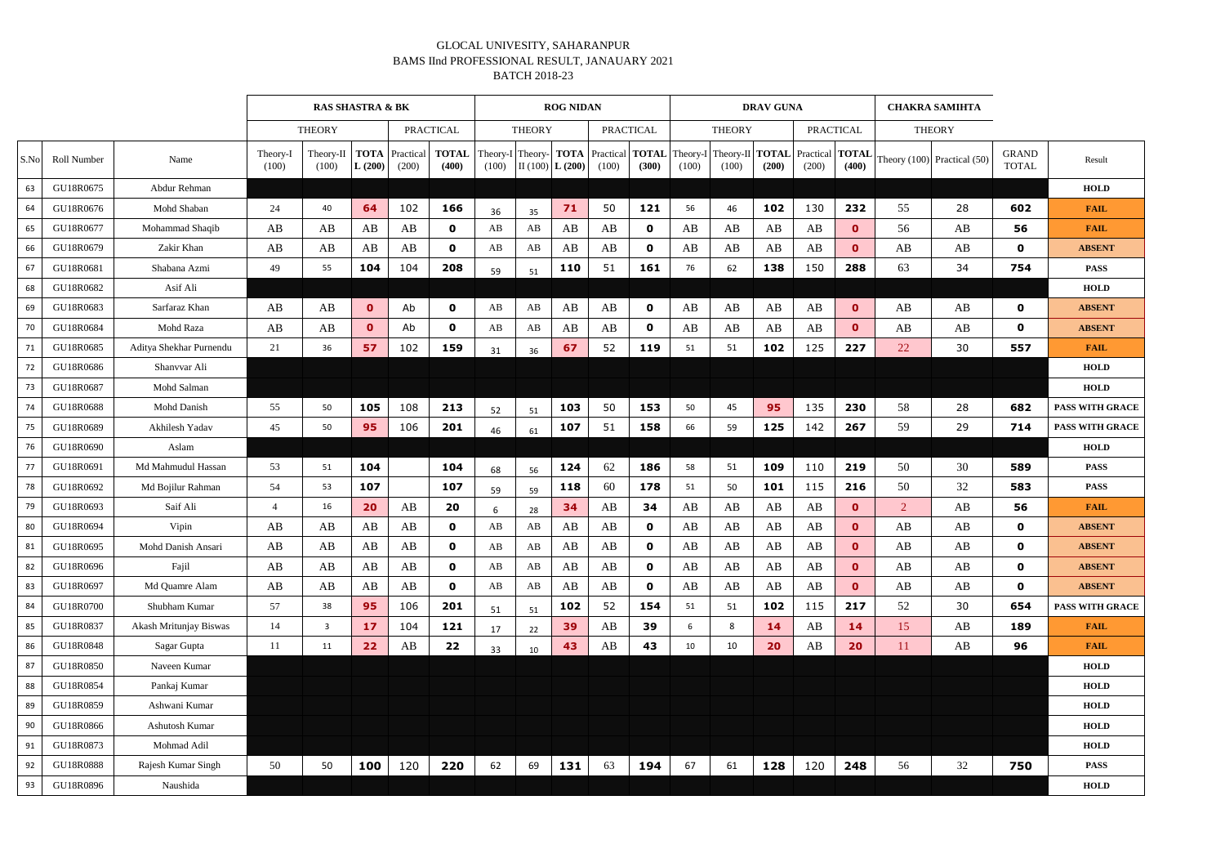|      | <b>RAS SHASTRA &amp; BK</b> |                         |                   |                                   |                       |                    |                       |                   |               | <b>ROG NIDAN</b>                  |                                |              |                 |                                                       | <b>DRAV GUNA</b>       |                  |              |                | <b>CHAKRA SAMIHTA</b>                                             |                              |                        |
|------|-----------------------------|-------------------------|-------------------|-----------------------------------|-----------------------|--------------------|-----------------------|-------------------|---------------|-----------------------------------|--------------------------------|--------------|-----------------|-------------------------------------------------------|------------------------|------------------|--------------|----------------|-------------------------------------------------------------------|------------------------------|------------------------|
|      |                             |                         |                   | <b>PRACTICAL</b><br><b>THEORY</b> |                       |                    |                       |                   | <b>THEORY</b> |                                   | <b>PRACTICAL</b>               |              |                 | <b>THEORY</b>                                         |                        | <b>PRACTICAL</b> |              | <b>THEORY</b>  |                                                                   |                              |                        |
| S.No | <b>Roll Number</b>          | Name                    | Theory-I<br>(100) | Theory-II<br>(100)                | <b>TOTA</b><br>L(200) | Practical<br>(200) | <b>TOTAL</b><br>(400) | Theory-I<br>(100) | Theory-       | $\left  \right $ II (100) L (200) | <b>TOTA</b> Practical<br>(100) | (300)        | (100)           | <b>TOTAL</b> Theory-I Theory-II <b>TOTAL</b><br>(100) | (200)                  | (200)            | (400)        |                | Practical $\left \text{TOTAL}\right $ Theory (100) Practical (50) | <b>GRAND</b><br><b>TOTAL</b> | Result                 |
| 63   | GU18R0675                   | Abdur Rehman            |                   |                                   |                       |                    |                       |                   |               |                                   |                                |              |                 |                                                       |                        |                  |              |                |                                                                   |                              | <b>HOLD</b>            |
| 64   | GU18R0676                   | Mohd Shaban             | 24                | 40                                | 64                    | 102                | 166                   | 36                | 35            | 71                                | 50                             | 121          | 56              | 46                                                    | 102                    | 130              | 232          | 55             | 28                                                                | 602                          | <b>FAIL</b>            |
| 65   | GU18R0677                   | Mohammad Shaqib         | AB                | AB                                | AB                    | AB                 | $\mathbf 0$           | AB                | AB            | AB                                | AB                             | 0            | AB              | AB                                                    | AB                     | AB               | $\mathbf{0}$ | 56             | AB                                                                | 56                           | <b>FAIL</b>            |
| 66   | GU18R0679                   | Zakir Khan              | AB                | AB                                | AB                    | AB                 | 0                     | AB                | AB            | AB                                | AB                             | 0            | AB              | AB                                                    | AB                     | AB               | $\mathbf{0}$ | AB             | AB                                                                | $\mathbf 0$                  | <b>ABSENT</b>          |
| 67   | GU18R0681                   | Shabana Azmi            | 49                | 55                                | 104                   | 104                | 208                   | 59                | 51            | 110                               | 51                             | 161          | 76              | 62                                                    | 138                    | 150              | 288          | 63             | 34                                                                | 754                          | <b>PASS</b>            |
| 68   | GU18R0682                   | Asif Ali                |                   |                                   |                       |                    |                       |                   |               |                                   |                                |              |                 |                                                       |                        |                  |              |                |                                                                   |                              | <b>HOLD</b>            |
| 69   | GU18R0683                   | Sarfaraz Khan           | AB                | AB                                | $\bullet$             | Ab                 | $\mathbf 0$           | AB                | AB            | AB                                | AB                             | $\mathbf{o}$ | AB              | AB                                                    | AB                     | AB               | $\mathbf{0}$ | AB             | AB                                                                | 0                            | <b>ABSENT</b>          |
| 70   | GU18R0684                   | Mohd Raza               | AB                | AB                                | $\mathbf{0}$          | Ab                 | 0                     | AB                | AB            | AB                                | AB                             | 0            | AB              | AB                                                    | AB                     | AB               | $\mathbf{0}$ | AB             | AB                                                                | $\mathbf 0$                  | <b>ABSENT</b>          |
| 71   | GU18R0685                   | Aditya Shekhar Purnendu | 21                | 36                                | 57                    | 102                | 159                   | 31                | 36            | 67                                | 52                             | 119          | 51              | 51                                                    | 102                    | 125              | 227          | 22             | 30                                                                | 557                          | <b>FAIL</b>            |
| 72   | GU18R0686                   | Shanvvar Ali            |                   |                                   |                       |                    |                       |                   |               |                                   |                                |              |                 |                                                       |                        |                  |              |                |                                                                   |                              | <b>HOLD</b>            |
| 73   | GU18R0687                   | Mohd Salman             |                   |                                   |                       |                    |                       |                   |               |                                   |                                |              |                 |                                                       |                        |                  |              |                |                                                                   |                              | <b>HOLD</b>            |
| 74   | GU18R0688                   | Mohd Danish             | 55                | 50                                | 105                   | 108                | 213                   | 52                | 51            | 103                               | 50                             | 153          | 50              | 45                                                    | 95                     | 135              | 230          | 58             | 28                                                                | 682                          | <b>PASS WITH GRACE</b> |
| 75   | GU18R0689                   | Akhilesh Yadav          | 45                | 50                                | 95                    | 106                | 201                   | 46                | 61            | 107                               | 51                             | 158          | 66              | 59                                                    | 125                    | 142              | 267          | 59             | 29                                                                | 714                          | <b>PASS WITH GRACE</b> |
| 76   | GU18R0690                   | Aslam                   |                   |                                   |                       |                    |                       |                   |               |                                   |                                |              |                 |                                                       |                        |                  |              |                |                                                                   |                              | <b>HOLD</b>            |
| 77   | GU18R0691                   | Md Mahmudul Hassan      | 53                | 51                                | 104                   |                    | 104                   | 68                | 56            | 124                               | 62                             | 186          | 58              | 51                                                    | 109                    | 110              | 219          | 50             | 30                                                                | 589                          | <b>PASS</b>            |
| 78   | GU18R0692                   | Md Bojilur Rahman       | 54                | 53                                | 107                   |                    | 107                   | 59                | 59            | 118                               | 60                             | 178          | 51              | 50                                                    | 101                    | 115              | 216          | 50             | 32                                                                | 583                          | <b>PASS</b>            |
| 79   | GU18R0693                   | Saif Ali                | $\overline{4}$    | 16                                | 20                    | AB                 | 20                    | 6                 | 28            | 34                                | AB                             | 34           | AB              | AB                                                    | AB                     | AB               | $\mathbf{0}$ | $\overline{2}$ | AB                                                                | 56                           | <b>FAIL</b>            |
| 80   | GU18R0694                   | Vipin                   | AB                | AB                                | AB                    | AB                 | 0                     | AB                | AB            | AB                                | AB                             | $\mathbf 0$  | AB              | AB                                                    | AB                     | AB               | $\mathbf{0}$ | AB             | $\mathbf{A}\mathbf{B}$                                            | $\mathbf 0$                  | <b>ABSENT</b>          |
| 81   | GU18R0695                   | Mohd Danish Ansari      | AB                | AB                                | AB                    | AB                 | 0                     | AB                | AB            | AB                                | AB                             | 0            | AB              | AB                                                    | AB                     | AB               | $\mathbf{0}$ | AB             | $\mathbf{A}\mathbf{B}$                                            | 0                            | <b>ABSENT</b>          |
| 82   | GU18R0696                   | Fajil                   | AB                | AB                                | AB                    | AB                 | $\mathbf 0$           | AB                | AB            | AB                                | AB                             | $\mathbf 0$  | AB              | AB                                                    | $\mathbf{A}\mathbf{B}$ | AB               | $\mathbf{0}$ | AB             | $\mathbf{A}\mathbf{B}$                                            | 0                            | <b>ABSENT</b>          |
| 83   | GU18R0697                   | Md Quamre Alam          | AB                | AB                                | AB                    | AB                 | 0                     | AB                | AB            | AB                                | AB                             | $\mathbf 0$  | AB              | AB                                                    | AB                     | AB               | $\mathbf{0}$ | AB             | AB                                                                | $\mathbf 0$                  | <b>ABSENT</b>          |
| 84   | GU18R0700                   | Shubham Kumar           | 57                | 38                                | 95                    | 106                | 201                   | 51                | 51            | 102                               | 52                             | 154          | 51              | 51                                                    | 102                    | 115              | 217          | 52             | 30                                                                | 654                          | <b>PASS WITH GRACE</b> |
| 85   | GU18R0837                   | Akash Mritunjay Biswas  | 14                | $\mathbf{3}$                      | 17                    | 104                | 121                   | 17                | 22            | 39                                | AB                             | 39           | $6\overline{6}$ | 8                                                     | 14                     | AB               | <b>14</b>    | 15             | $\mathbf{A}\mathbf{B}$                                            | 189                          | <b>FAIL</b>            |
| 86   | GU18R0848                   | Sagar Gupta             | 11                | 11                                | 22                    | AB                 | 22                    | 33                | 10            | 43                                | AB                             | 43           | 10              | 10 <sup>°</sup>                                       | 20                     | AB               | 20           | 11             | $\mathbf{A}\mathbf{B}$                                            | 96                           | <b>FAIL</b>            |
| 87   | GU18R0850                   | Naveen Kumar            |                   |                                   |                       |                    |                       |                   |               |                                   |                                |              |                 |                                                       |                        |                  |              |                |                                                                   |                              | <b>HOLD</b>            |
| 88   | GU18R0854                   | Pankaj Kumar            |                   |                                   |                       |                    |                       |                   |               |                                   |                                |              |                 |                                                       |                        |                  |              |                |                                                                   |                              | <b>HOLD</b>            |
| 89   | GU18R0859                   | Ashwani Kumar           |                   |                                   |                       |                    |                       |                   |               |                                   |                                |              |                 |                                                       |                        |                  |              |                |                                                                   |                              | <b>HOLD</b>            |
| 90   | GU18R0866                   | Ashutosh Kumar          |                   |                                   |                       |                    |                       |                   |               |                                   |                                |              |                 |                                                       |                        |                  |              |                |                                                                   |                              | <b>HOLD</b>            |
| 91   | GU18R0873                   | Mohmad Adil             |                   |                                   |                       |                    |                       |                   |               |                                   |                                |              |                 |                                                       |                        |                  |              |                |                                                                   |                              | <b>HOLD</b>            |
| 92   | GU18R0888                   | Rajesh Kumar Singh      | 50                | 50                                | 100                   | 120                | 220                   | 62                | 69            | 131                               | 63                             | 194          | 67              | 61                                                    | 128                    | 120              | 248          | 56             | 32                                                                | 750                          | <b>PASS</b>            |
| 93   | GU18R0896                   | Naushida                |                   |                                   |                       |                    |                       |                   |               |                                   |                                |              |                 |                                                       |                        |                  |              |                |                                                                   |                              | <b>HOLD</b>            |